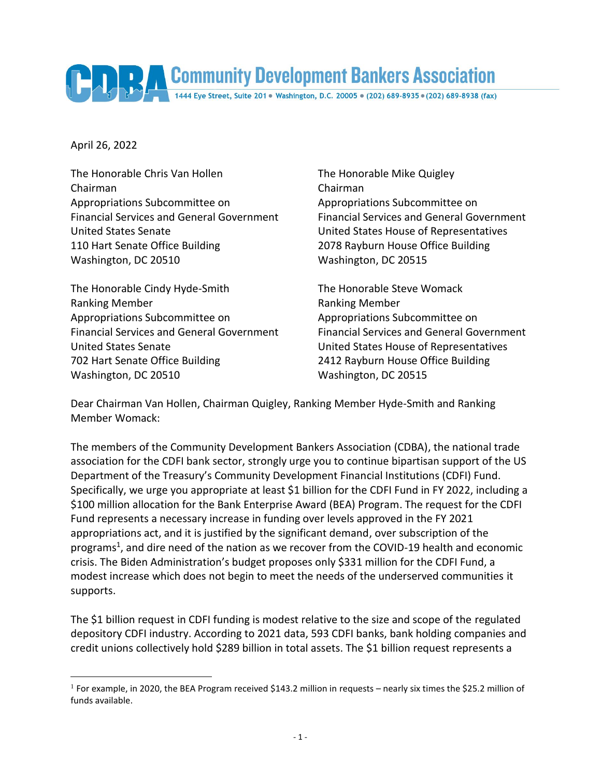

April 26, 2022

 $\overline{a}$ 

The Honorable Chris Van Hollen The Honorable Mike Quigley Chairman Chairman Appropriations Subcommittee on Appropriations Subcommittee on United States Senate United States House of Representatives 110 Hart Senate Office Building 2078 Rayburn House Office Building Washington, DC 20510 Washington, DC 20515

The Honorable Cindy Hyde-Smith The Honorable Steve Womack Ranking Member **Ranking Member** Ranking Member Appropriations Subcommittee on Appropriations Subcommittee on United States Senate United States House of Representatives 702 Hart Senate Office Building 2412 Rayburn House Office Building Washington, DC 20510 Washington, DC 20515

Financial Services and General Government Financial Services and General Government

Financial Services and General Government Financial Services and General Government

Dear Chairman Van Hollen, Chairman Quigley, Ranking Member Hyde-Smith and Ranking Member Womack:

The members of the Community Development Bankers Association (CDBA), the national trade association for the CDFI bank sector, strongly urge you to continue bipartisan support of the US Department of the Treasury's Community Development Financial Institutions (CDFI) Fund. Specifically, we urge you appropriate at least \$1 billion for the CDFI Fund in FY 2022, including a \$100 million allocation for the Bank Enterprise Award (BEA) Program. The request for the CDFI Fund represents a necessary increase in funding over levels approved in the FY 2021 appropriations act, and it is justified by the significant demand, over subscription of the programs<sup>1</sup>, and dire need of the nation as we recover from the COVID-19 health and economic crisis. The Biden Administration's budget proposes only \$331 million for the CDFI Fund, a modest increase which does not begin to meet the needs of the underserved communities it supports.

The \$1 billion request in CDFI funding is modest relative to the size and scope of the regulated depository CDFI industry. According to 2021 data, 593 CDFI banks, bank holding companies and credit unions collectively hold \$289 billion in total assets. The \$1 billion request represents a

<sup>&</sup>lt;sup>1</sup> For example, in 2020, the BEA Program received \$143.2 million in requests – nearly six times the \$25.2 million of funds available.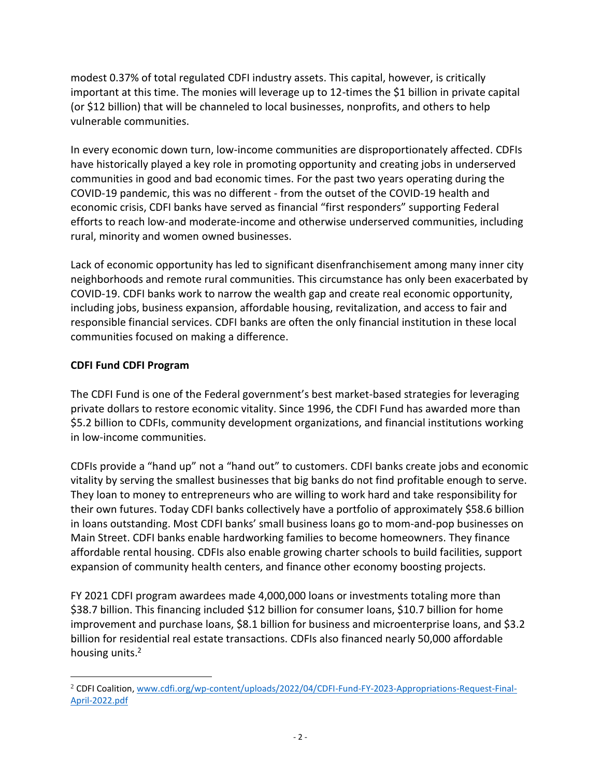modest 0.37% of total regulated CDFI industry assets. This capital, however, is critically important at this time. The monies will leverage up to 12-times the \$1 billion in private capital (or \$12 billion) that will be channeled to local businesses, nonprofits, and others to help vulnerable communities.

In every economic down turn, low-income communities are disproportionately affected. CDFIs have historically played a key role in promoting opportunity and creating jobs in underserved communities in good and bad economic times. For the past two years operating during the COVID-19 pandemic, this was no different - from the outset of the COVID-19 health and economic crisis, CDFI banks have served as financial "first responders" supporting Federal efforts to reach low-and moderate-income and otherwise underserved communities, including rural, minority and women owned businesses.

Lack of economic opportunity has led to significant disenfranchisement among many inner city neighborhoods and remote rural communities. This circumstance has only been exacerbated by COVID-19. CDFI banks work to narrow the wealth gap and create real economic opportunity, including jobs, business expansion, affordable housing, revitalization, and access to fair and responsible financial services. CDFI banks are often the only financial institution in these local communities focused on making a difference.

## **CDFI Fund CDFI Program**

 $\overline{a}$ 

The CDFI Fund is one of the Federal government's best market-based strategies for leveraging private dollars to restore economic vitality. Since 1996, the CDFI Fund has awarded more than \$5.2 billion to CDFIs, community development organizations, and financial institutions working in low-income communities.

CDFIs provide a "hand up" not a "hand out" to customers. CDFI banks create jobs and economic vitality by serving the smallest businesses that big banks do not find profitable enough to serve. They loan to money to entrepreneurs who are willing to work hard and take responsibility for their own futures. Today CDFI banks collectively have a portfolio of approximately \$58.6 billion in loans outstanding. Most CDFI banks' small business loans go to mom-and-pop businesses on Main Street. CDFI banks enable hardworking families to become homeowners. They finance affordable rental housing. CDFIs also enable growing charter schools to build facilities, support expansion of community health centers, and finance other economy boosting projects.

FY 2021 CDFI program awardees made 4,000,000 loans or investments totaling more than \$38.7 billion. This financing included \$12 billion for consumer loans, \$10.7 billion for home improvement and purchase loans, \$8.1 billion for business and microenterprise loans, and \$3.2 billion for residential real estate transactions. CDFIs also financed nearly 50,000 affordable housing units.<sup>2</sup>

<sup>2</sup> CDFI Coalition[, www.cdfi.org/wp-content/uploads/2022/04/CDFI-Fund-FY-2023-Appropriations-Request-Final-](www.cdfi.org/wp-content/uploads/2022/04/CDFI-Fund-FY-2023-Appropriations-Request-Final-April-2022.pdf)[April-2022.pdf](www.cdfi.org/wp-content/uploads/2022/04/CDFI-Fund-FY-2023-Appropriations-Request-Final-April-2022.pdf)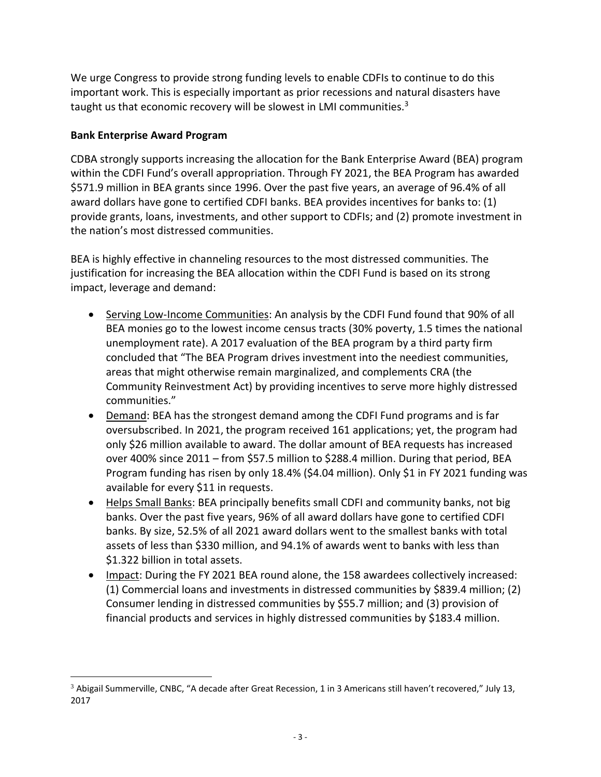We urge Congress to provide strong funding levels to enable CDFIs to continue to do this important work. This is especially important as prior recessions and natural disasters have taught us that economic recovery will be slowest in LMI communities.<sup>3</sup>

## **Bank Enterprise Award Program**

 $\overline{a}$ 

CDBA strongly supports increasing the allocation for the Bank Enterprise Award (BEA) program within the CDFI Fund's overall appropriation. Through FY 2021, the BEA Program has awarded \$571.9 million in BEA grants since 1996. Over the past five years, an average of 96.4% of all award dollars have gone to certified CDFI banks. BEA provides incentives for banks to: (1) provide grants, loans, investments, and other support to CDFIs; and (2) promote investment in the nation's most distressed communities.

BEA is highly effective in channeling resources to the most distressed communities. The justification for increasing the BEA allocation within the CDFI Fund is based on its strong impact, leverage and demand:

- Serving Low-Income Communities: An analysis by the CDFI Fund found that 90% of all BEA monies go to the lowest income census tracts (30% poverty, 1.5 times the national unemployment rate). A 2017 evaluation of the BEA program by a third party firm concluded that "The BEA Program drives investment into the neediest communities, areas that might otherwise remain marginalized, and complements CRA (the Community Reinvestment Act) by providing incentives to serve more highly distressed communities."
- Demand: BEA has the strongest demand among the CDFI Fund programs and is far oversubscribed. In 2021, the program received 161 applications; yet, the program had only \$26 million available to award. The dollar amount of BEA requests has increased over 400% since 2011 – from \$57.5 million to \$288.4 million. During that period, BEA Program funding has risen by only 18.4% (\$4.04 million). Only \$1 in FY 2021 funding was available for every \$11 in requests.
- Helps Small Banks: BEA principally benefits small CDFI and community banks, not big banks. Over the past five years, 96% of all award dollars have gone to certified CDFI banks. By size, 52.5% of all 2021 award dollars went to the smallest banks with total assets of less than \$330 million, and 94.1% of awards went to banks with less than \$1.322 billion in total assets.
- Impact: During the FY 2021 BEA round alone, the 158 awardees collectively increased: (1) Commercial loans and investments in distressed communities by \$839.4 million; (2) Consumer lending in distressed communities by \$55.7 million; and (3) provision of financial products and services in highly distressed communities by \$183.4 million.

 $3$  Abigail Summerville, CNBC, "A decade after Great Recession, 1 in 3 Americans still haven't recovered," July 13, 2017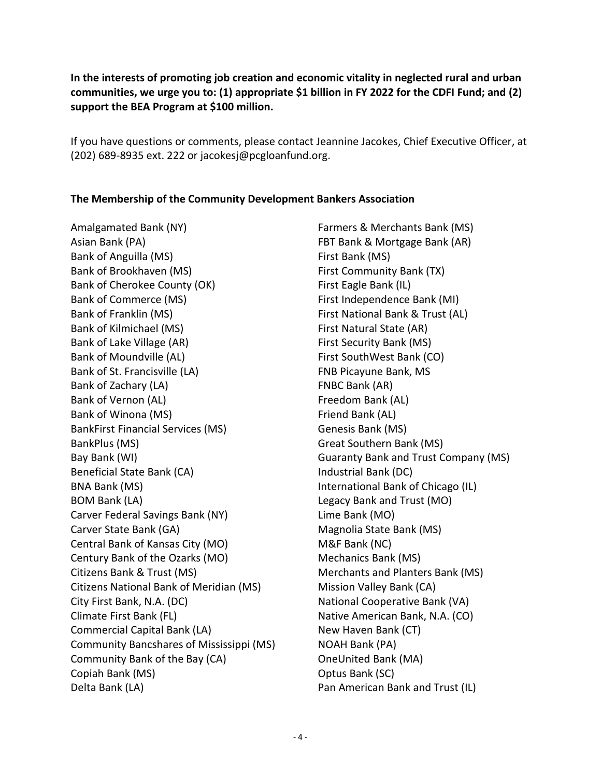**In the interests of promoting job creation and economic vitality in neglected rural and urban communities, we urge you to: (1) appropriate \$1 billion in FY 2022 for the CDFI Fund; and (2) support the BEA Program at \$100 million.**

If you have questions or comments, please contact Jeannine Jacokes, Chief Executive Officer, at (202) 689-8935 ext. 222 or jacokesj@pcgloanfund.org.

## **The Membership of the Community Development Bankers Association**

Amalgamated Bank (NY) Asian Bank (PA) Bank of Anguilla (MS) Bank of Brookhaven (MS) Bank of Cherokee County (OK) Bank of Commerce (MS) Bank of Franklin (MS) Bank of Kilmichael (MS) Bank of Lake Village (AR) Bank of Moundville (AL) Bank of St. Francisville (LA) Bank of Zachary (LA) Bank of Vernon (AL) Bank of Winona (MS) BankFirst Financial Services (MS) BankPlus (MS) Bay Bank (WI) Beneficial State Bank (CA) BNA Bank (MS) BOM Bank (LA) Carver Federal Savings Bank (NY) Carver State Bank (GA) Central Bank of Kansas City (MO) Century Bank of the Ozarks (MO) Citizens Bank & Trust (MS) Citizens National Bank of Meridian (MS) City First Bank, N.A. (DC) Climate First Bank (FL) Commercial Capital Bank (LA) Community Bancshares of Mississippi (MS) Community Bank of the Bay (CA) Copiah Bank (MS) Delta Bank (LA)

Farmers & Merchants Bank (MS) FBT Bank & Mortgage Bank (AR) First Bank (MS) First Community Bank (TX) First Eagle Bank (IL) First Independence Bank (MI) First National Bank & Trust (AL) First Natural State (AR) First Security Bank (MS) First SouthWest Bank (CO) FNB Picayune Bank, MS FNBC Bank (AR) Freedom Bank (AL) Friend Bank (AL) Genesis Bank (MS) Great Southern Bank (MS) Guaranty Bank and Trust Company (MS) Industrial Bank (DC) International Bank of Chicago (IL) Legacy Bank and Trust (MO) Lime Bank (MO) Magnolia State Bank (MS) M&F Bank (NC) Mechanics Bank (MS) Merchants and Planters Bank (MS) Mission Valley Bank (CA) National Cooperative Bank (VA) Native American Bank, N.A. (CO) New Haven Bank (CT) NOAH Bank (PA) OneUnited Bank (MA) Optus Bank (SC) Pan American Bank and Trust (IL)